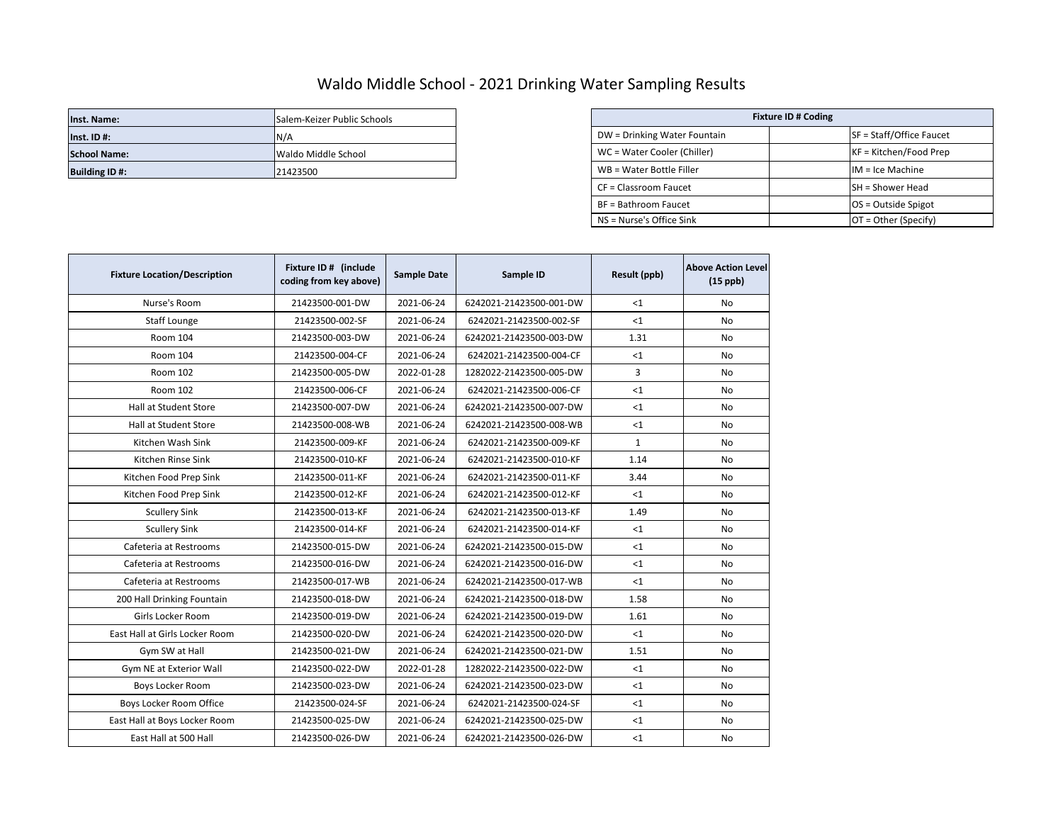## Waldo Middle School - 2021 Drinking Water Sampling Results

| Inst. Name:          | Salem-Keizer Public Schools | <b>Fixture ID # Coding</b>   |  |                          |
|----------------------|-----------------------------|------------------------------|--|--------------------------|
| $Inst.$ ID #:        | N/A                         | DW = Drinking Water Fountain |  | SF = Staff/Office Faucet |
| <b>School Name:</b>  | Waldo Middle School         | WC = Water Cooler (Chiller)  |  | $KF = Kitchen/Food Prep$ |
| <b>Building ID#:</b> | 21423500                    | WB = Water Bottle Filler     |  | $IM = Ice Machine$       |

| Salem-Keizer Public Schools | <b>Fixture ID # Coding</b>   |                          |  |  |
|-----------------------------|------------------------------|--------------------------|--|--|
| N/A                         | DW = Drinking Water Fountain | SF = Staff/Office Faucet |  |  |
| Waldo Middle School         | WC = Water Cooler (Chiller)  | KF = Kitchen/Food Prep   |  |  |
| 21423500                    | WB = Water Bottle Filler     | $IM = Ice Machine$       |  |  |
|                             | CF = Classroom Faucet        | <b>SH</b> = Shower Head  |  |  |
|                             | BF = Bathroom Faucet         | OS = Outside Spigot      |  |  |
|                             | NS = Nurse's Office Sink     | $OT = Other (Specify)$   |  |  |

| <b>Fixture Location/Description</b> | Fixture ID # (include<br>coding from key above) | <b>Sample Date</b> | Sample ID               | Result (ppb) | <b>Above Action Level</b><br>$(15$ ppb $)$ |
|-------------------------------------|-------------------------------------------------|--------------------|-------------------------|--------------|--------------------------------------------|
| Nurse's Room                        | 21423500-001-DW                                 | 2021-06-24         | 6242021-21423500-001-DW | $<$ 1        | No                                         |
| Staff Lounge                        | 21423500-002-SF                                 | 2021-06-24         | 6242021-21423500-002-SF | $<$ 1        | No                                         |
| <b>Room 104</b>                     | 21423500-003-DW                                 | 2021-06-24         | 6242021-21423500-003-DW | 1.31         | No                                         |
| <b>Room 104</b>                     | 21423500-004-CF                                 | 2021-06-24         | 6242021-21423500-004-CF | $<$ 1        | No                                         |
| Room 102                            | 21423500-005-DW                                 | 2022-01-28         | 1282022-21423500-005-DW | 3            | No                                         |
| Room 102                            | 21423500-006-CF                                 | 2021-06-24         | 6242021-21423500-006-CF | <1           | No                                         |
| <b>Hall at Student Store</b>        | 21423500-007-DW                                 | 2021-06-24         | 6242021-21423500-007-DW | <1           | <b>No</b>                                  |
| Hall at Student Store               | 21423500-008-WB                                 | 2021-06-24         | 6242021-21423500-008-WB | $<$ 1        | No                                         |
| Kitchen Wash Sink                   | 21423500-009-KF                                 | 2021-06-24         | 6242021-21423500-009-KF | $\mathbf{1}$ | No                                         |
| Kitchen Rinse Sink                  | 21423500-010-KF                                 | 2021-06-24         | 6242021-21423500-010-KF | 1.14         | No                                         |
| Kitchen Food Prep Sink              | 21423500-011-KF                                 | 2021-06-24         | 6242021-21423500-011-KF | 3.44         | No                                         |
| Kitchen Food Prep Sink              | 21423500-012-KF                                 | 2021-06-24         | 6242021-21423500-012-KF | $<$ 1        | <b>No</b>                                  |
| <b>Scullery Sink</b>                | 21423500-013-KF                                 | 2021-06-24         | 6242021-21423500-013-KF | 1.49         | No                                         |
| <b>Scullery Sink</b>                | 21423500-014-KF                                 | 2021-06-24         | 6242021-21423500-014-KF | <1           | No                                         |
| Cafeteria at Restrooms              | 21423500-015-DW                                 | 2021-06-24         | 6242021-21423500-015-DW | <1           | No                                         |
| Cafeteria at Restrooms              | 21423500-016-DW                                 | 2021-06-24         | 6242021-21423500-016-DW | <1           | No                                         |
| Cafeteria at Restrooms              | 21423500-017-WB                                 | 2021-06-24         | 6242021-21423500-017-WB | <1           | No                                         |
| 200 Hall Drinking Fountain          | 21423500-018-DW                                 | 2021-06-24         | 6242021-21423500-018-DW | 1.58         | <b>No</b>                                  |
| Girls Locker Room                   | 21423500-019-DW                                 | 2021-06-24         | 6242021-21423500-019-DW | 1.61         | No                                         |
| East Hall at Girls Locker Room      | 21423500-020-DW                                 | 2021-06-24         | 6242021-21423500-020-DW | <1           | No                                         |
| Gym SW at Hall                      | 21423500-021-DW                                 | 2021-06-24         | 6242021-21423500-021-DW | 1.51         | <b>No</b>                                  |
| Gym NE at Exterior Wall             | 21423500-022-DW                                 | 2022-01-28         | 1282022-21423500-022-DW | $<$ 1        | No                                         |
| Boys Locker Room                    | 21423500-023-DW                                 | 2021-06-24         | 6242021-21423500-023-DW | $<$ 1        | No                                         |
| Boys Locker Room Office             | 21423500-024-SF                                 | 2021-06-24         | 6242021-21423500-024-SF | $<$ 1        | No                                         |
| East Hall at Boys Locker Room       | 21423500-025-DW                                 | 2021-06-24         | 6242021-21423500-025-DW | <1           | No                                         |
| East Hall at 500 Hall               | 21423500-026-DW                                 | 2021-06-24         | 6242021-21423500-026-DW | <1           | No                                         |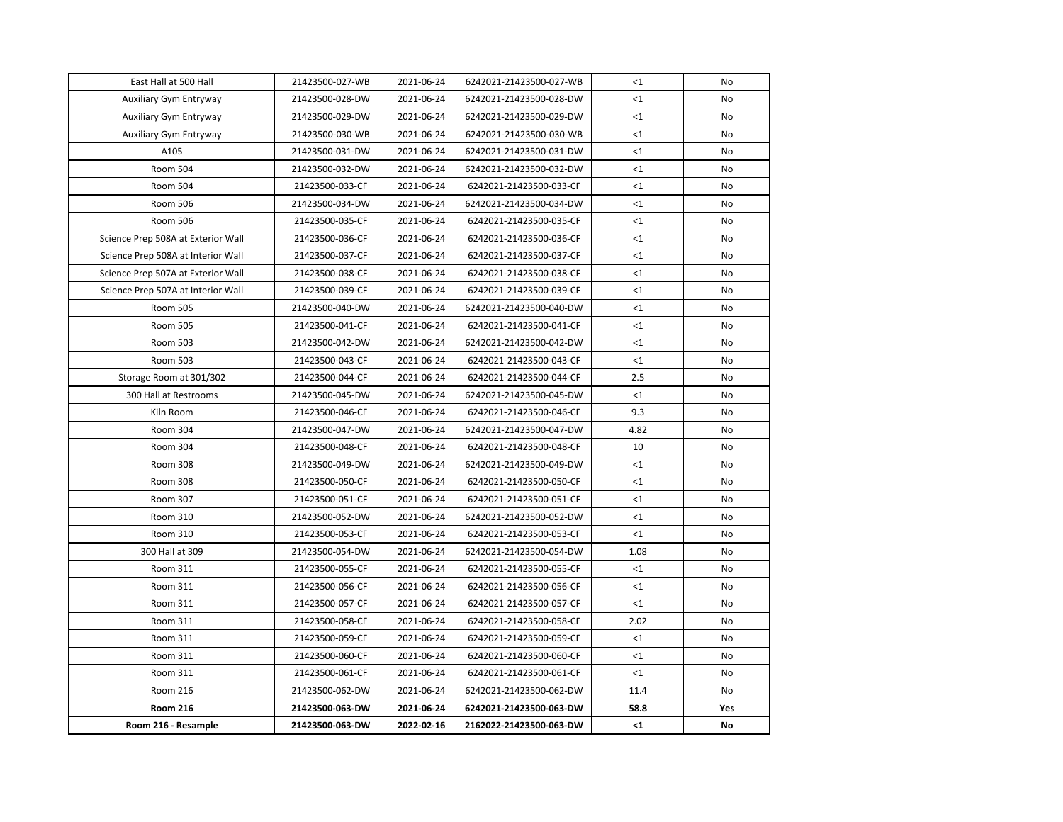| Room 216 - Resample                | 21423500-063-DW | 2022-02-16 | 2162022-21423500-063-DW | $\leq 1$ | No  |
|------------------------------------|-----------------|------------|-------------------------|----------|-----|
| <b>Room 216</b>                    | 21423500-063-DW | 2021-06-24 | 6242021-21423500-063-DW | 58.8     | Yes |
| Room 216                           | 21423500-062-DW | 2021-06-24 | 6242021-21423500-062-DW | 11.4     | No  |
| Room 311                           | 21423500-061-CF | 2021-06-24 | 6242021-21423500-061-CF | $<$ 1    | No  |
| Room 311                           | 21423500-060-CF | 2021-06-24 | 6242021-21423500-060-CF | $<$ 1    | No  |
| Room 311                           | 21423500-059-CF | 2021-06-24 | 6242021-21423500-059-CF | <1       | No  |
| Room 311                           | 21423500-058-CF | 2021-06-24 | 6242021-21423500-058-CF | 2.02     | No  |
| Room 311                           | 21423500-057-CF | 2021-06-24 | 6242021-21423500-057-CF | <1       | No  |
| Room 311                           | 21423500-056-CF | 2021-06-24 | 6242021-21423500-056-CF | <1       | No  |
| Room 311                           | 21423500-055-CF | 2021-06-24 | 6242021-21423500-055-CF | $<$ 1    | No  |
| 300 Hall at 309                    | 21423500-054-DW | 2021-06-24 | 6242021-21423500-054-DW | 1.08     | No  |
| Room 310                           | 21423500-053-CF | 2021-06-24 | 6242021-21423500-053-CF | <1       | No  |
| Room 310                           | 21423500-052-DW | 2021-06-24 | 6242021-21423500-052-DW | $<$ 1    | No  |
| Room 307                           | 21423500-051-CF | 2021-06-24 | 6242021-21423500-051-CF | $<$ 1    | No  |
| Room 308                           | 21423500-050-CF | 2021-06-24 | 6242021-21423500-050-CF | $<$ 1    | No  |
| Room 308                           | 21423500-049-DW | 2021-06-24 | 6242021-21423500-049-DW | $\leq$ 1 | No  |
| Room 304                           | 21423500-048-CF | 2021-06-24 | 6242021-21423500-048-CF | 10       | No  |
| Room 304                           | 21423500-047-DW | 2021-06-24 | 6242021-21423500-047-DW | 4.82     | No  |
| Kiln Room                          | 21423500-046-CF | 2021-06-24 | 6242021-21423500-046-CF | 9.3      | No  |
| 300 Hall at Restrooms              | 21423500-045-DW | 2021-06-24 | 6242021-21423500-045-DW | <1       | No  |
| Storage Room at 301/302            | 21423500-044-CF | 2021-06-24 | 6242021-21423500-044-CF | 2.5      | No  |
| Room 503                           | 21423500-043-CF | 2021-06-24 | 6242021-21423500-043-CF | <1       | No  |
| Room 503                           | 21423500-042-DW | 2021-06-24 | 6242021-21423500-042-DW | $<$ 1    | No  |
| <b>Room 505</b>                    | 21423500-041-CF | 2021-06-24 | 6242021-21423500-041-CF | <1       | No  |
| <b>Room 505</b>                    | 21423500-040-DW | 2021-06-24 | 6242021-21423500-040-DW | <1       | No  |
| Science Prep 507A at Interior Wall | 21423500-039-CF | 2021-06-24 | 6242021-21423500-039-CF | <1       | No  |
| Science Prep 507A at Exterior Wall | 21423500-038-CF | 2021-06-24 | 6242021-21423500-038-CF | $<$ 1    | No  |
| Science Prep 508A at Interior Wall | 21423500-037-CF | 2021-06-24 | 6242021-21423500-037-CF | $<$ 1    | No  |
| Science Prep 508A at Exterior Wall | 21423500-036-CF | 2021-06-24 | 6242021-21423500-036-CF | $<$ 1    | No  |
| Room 506                           | 21423500-035-CF | 2021-06-24 | 6242021-21423500-035-CF | $\leq$ 1 | No  |
| <b>Room 506</b>                    | 21423500-034-DW | 2021-06-24 | 6242021-21423500-034-DW | $<$ 1    | No  |
| Room 504                           | 21423500-033-CF | 2021-06-24 | 6242021-21423500-033-CF | $<$ 1    | No  |
| Room 504                           | 21423500-032-DW | 2021-06-24 | 6242021-21423500-032-DW | $<$ 1    | No  |
| A105                               | 21423500-031-DW | 2021-06-24 | 6242021-21423500-031-DW | <1       | No  |
| Auxiliary Gym Entryway             | 21423500-030-WB | 2021-06-24 | 6242021-21423500-030-WB | <1       | No  |
| Auxiliary Gym Entryway             | 21423500-029-DW | 2021-06-24 | 6242021-21423500-029-DW | <1       | No  |
| Auxiliary Gym Entryway             | 21423500-028-DW | 2021-06-24 | 6242021-21423500-028-DW | <1       | No  |
| East Hall at 500 Hall              | 21423500-027-WB | 2021-06-24 | 6242021-21423500-027-WB | $<$ 1    | No  |